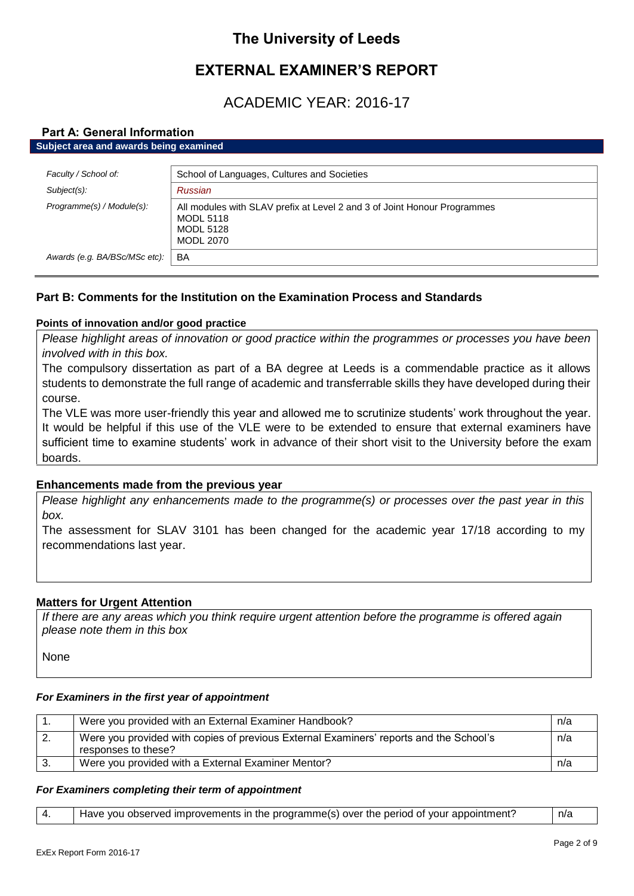# **The University of Leeds**

# **EXTERNAL EXAMINER'S REPORT**

# ACADEMIC YEAR: 2016-17

# **Part A: General Information**

**Subject area and awards being examined**

| Faculty / School of:          | School of Languages, Cultures and Societies                                                                                          |
|-------------------------------|--------------------------------------------------------------------------------------------------------------------------------------|
| Subject(s):                   | Russian                                                                                                                              |
| Programme(s) / Module(s):     | All modules with SLAV prefix at Level 2 and 3 of Joint Honour Programmes<br><b>MODL 5118</b><br><b>MODL 5128</b><br><b>MODL 2070</b> |
| Awards (e.g. BA/BSc/MSc etc): | BA                                                                                                                                   |
|                               |                                                                                                                                      |

# **Part B: Comments for the Institution on the Examination Process and Standards**

# **Points of innovation and/or good practice**

*Please highlight areas of innovation or good practice within the programmes or processes you have been involved with in this box.*

The compulsory dissertation as part of a BA degree at Leeds is a commendable practice as it allows students to demonstrate the full range of academic and transferrable skills they have developed during their course.

The VLE was more user-friendly this year and allowed me to scrutinize students' work throughout the year. It would be helpful if this use of the VLE were to be extended to ensure that external examiners have sufficient time to examine students' work in advance of their short visit to the University before the exam boards.

# **Enhancements made from the previous year**

*Please highlight any enhancements made to the programme(s) or processes over the past year in this box.*

The assessment for SLAV 3101 has been changed for the academic year 17/18 according to my recommendations last year.

### **Matters for Urgent Attention**

*If there are any areas which you think require urgent attention before the programme is offered again please note them in this box*

None

### *For Examiners in the first year of appointment*

| Were you provided with an External Examiner Handbook?                                                         | n/a |
|---------------------------------------------------------------------------------------------------------------|-----|
| Were you provided with copies of previous External Examiners' reports and the School's<br>responses to these? | n/a |
| Were you provided with a External Examiner Mentor?                                                            | n/a |

### *For Examiners completing their term of appointment*

| Have you observed improvements in the programme(s) over the period of your appointment? | n/a |
|-----------------------------------------------------------------------------------------|-----|
|                                                                                         |     |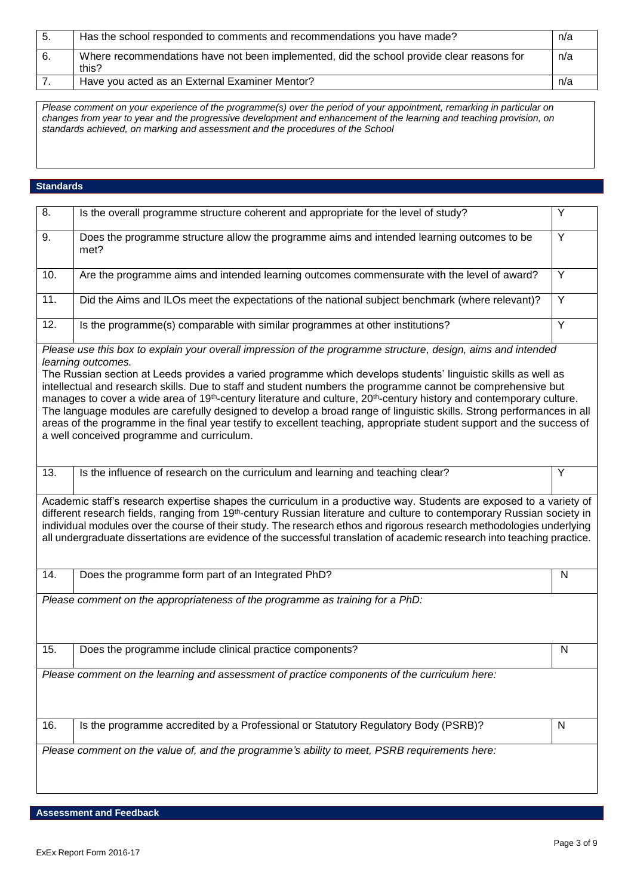| - 5. | Has the school responded to comments and recommendations you have made?                            | n/a |
|------|----------------------------------------------------------------------------------------------------|-----|
| -6.  | Where recommendations have not been implemented, did the school provide clear reasons for<br>this? | n/a |
|      | Have you acted as an External Examiner Mentor?                                                     | n/a |

*Please comment on your experience of the programme(s) over the period of your appointment, remarking in particular on changes from year to year and the progressive development and enhancement of the learning and teaching provision, on standards achieved, on marking and assessment and the procedures of the School*

#### **Standards**

| 8.                                                                                           | Is the overall programme structure coherent and appropriate for the level of study?                                                                                                                                                                                                                                                                                                                                                                                                                                                                                                                                                                                                                                                                                                                                    | Y              |
|----------------------------------------------------------------------------------------------|------------------------------------------------------------------------------------------------------------------------------------------------------------------------------------------------------------------------------------------------------------------------------------------------------------------------------------------------------------------------------------------------------------------------------------------------------------------------------------------------------------------------------------------------------------------------------------------------------------------------------------------------------------------------------------------------------------------------------------------------------------------------------------------------------------------------|----------------|
| 9.                                                                                           | Does the programme structure allow the programme aims and intended learning outcomes to be<br>met?                                                                                                                                                                                                                                                                                                                                                                                                                                                                                                                                                                                                                                                                                                                     | $\overline{Y}$ |
| 10.                                                                                          | Are the programme aims and intended learning outcomes commensurate with the level of award?                                                                                                                                                                                                                                                                                                                                                                                                                                                                                                                                                                                                                                                                                                                            | $\overline{Y}$ |
| 11.                                                                                          | Did the Aims and ILOs meet the expectations of the national subject benchmark (where relevant)?                                                                                                                                                                                                                                                                                                                                                                                                                                                                                                                                                                                                                                                                                                                        | Y              |
| 12.                                                                                          | Is the programme(s) comparable with similar programmes at other institutions?                                                                                                                                                                                                                                                                                                                                                                                                                                                                                                                                                                                                                                                                                                                                          | Y              |
|                                                                                              | Please use this box to explain your overall impression of the programme structure, design, aims and intended<br>learning outcomes.<br>The Russian section at Leeds provides a varied programme which develops students' linguistic skills as well as<br>intellectual and research skills. Due to staff and student numbers the programme cannot be comprehensive but<br>manages to cover a wide area of 19 <sup>th</sup> -century literature and culture, 20 <sup>th</sup> -century history and contemporary culture.<br>The language modules are carefully designed to develop a broad range of linguistic skills. Strong performances in all<br>areas of the programme in the final year testify to excellent teaching, appropriate student support and the success of<br>a well conceived programme and curriculum. |                |
| 13.                                                                                          | Is the influence of research on the curriculum and learning and teaching clear?                                                                                                                                                                                                                                                                                                                                                                                                                                                                                                                                                                                                                                                                                                                                        | Y              |
|                                                                                              | Academic staff's research expertise shapes the curriculum in a productive way. Students are exposed to a variety of<br>different research fields, ranging from 19 <sup>th</sup> -century Russian literature and culture to contemporary Russian society in<br>individual modules over the course of their study. The research ethos and rigorous research methodologies underlying<br>all undergraduate dissertations are evidence of the successful translation of academic research into teaching practice.                                                                                                                                                                                                                                                                                                          |                |
| 14.                                                                                          | Does the programme form part of an Integrated PhD?                                                                                                                                                                                                                                                                                                                                                                                                                                                                                                                                                                                                                                                                                                                                                                     | N              |
|                                                                                              | Please comment on the appropriateness of the programme as training for a PhD:                                                                                                                                                                                                                                                                                                                                                                                                                                                                                                                                                                                                                                                                                                                                          |                |
| 15.                                                                                          | Does the programme include clinical practice components?                                                                                                                                                                                                                                                                                                                                                                                                                                                                                                                                                                                                                                                                                                                                                               | N              |
| Please comment on the learning and assessment of practice components of the curriculum here: |                                                                                                                                                                                                                                                                                                                                                                                                                                                                                                                                                                                                                                                                                                                                                                                                                        |                |
| 16.                                                                                          | Is the programme accredited by a Professional or Statutory Regulatory Body (PSRB)?                                                                                                                                                                                                                                                                                                                                                                                                                                                                                                                                                                                                                                                                                                                                     | $\mathsf{N}$   |
|                                                                                              | Please comment on the value of, and the programme's ability to meet, PSRB requirements here:                                                                                                                                                                                                                                                                                                                                                                                                                                                                                                                                                                                                                                                                                                                           |                |

**Assessment and Feedback**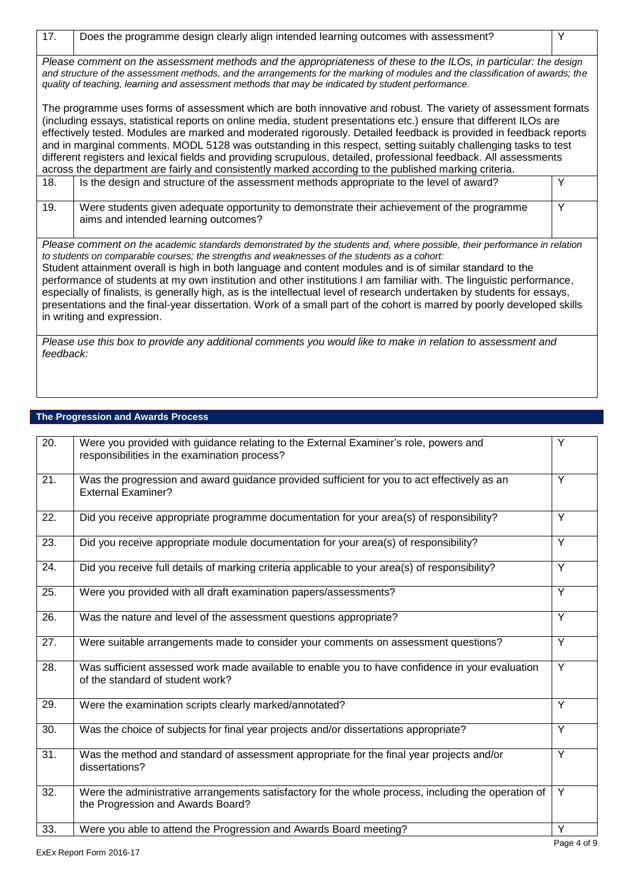| 17.                                                                                                                                                                                                                                                                                                                                                                                                                                                                                                                                                                                                                                                                                                                                              | Does the programme design clearly align intended learning outcomes with assessment?                                                | Υ |
|--------------------------------------------------------------------------------------------------------------------------------------------------------------------------------------------------------------------------------------------------------------------------------------------------------------------------------------------------------------------------------------------------------------------------------------------------------------------------------------------------------------------------------------------------------------------------------------------------------------------------------------------------------------------------------------------------------------------------------------------------|------------------------------------------------------------------------------------------------------------------------------------|---|
| Please comment on the assessment methods and the appropriateness of these to the ILOs, in particular: the design<br>and structure of the assessment methods, and the arrangements for the marking of modules and the classification of awards; the<br>quality of teaching, learning and assessment methods that may be indicated by student performance.                                                                                                                                                                                                                                                                                                                                                                                         |                                                                                                                                    |   |
| The programme uses forms of assessment which are both innovative and robust. The variety of assessment formats<br>(including essays, statistical reports on online media, student presentations etc.) ensure that different ILOs are<br>effectively tested. Modules are marked and moderated rigorously. Detailed feedback is provided in feedback reports<br>and in marginal comments. MODL 5128 was outstanding in this respect, setting suitably challenging tasks to test<br>different registers and lexical fields and providing scrupulous, detailed, professional feedback. All assessments<br>across the department are fairly and consistently marked according to the published marking criteria.                                      |                                                                                                                                    |   |
| 18.                                                                                                                                                                                                                                                                                                                                                                                                                                                                                                                                                                                                                                                                                                                                              | Is the design and structure of the assessment methods appropriate to the level of award?                                           | Y |
| 19.                                                                                                                                                                                                                                                                                                                                                                                                                                                                                                                                                                                                                                                                                                                                              | Were students given adequate opportunity to demonstrate their achievement of the programme<br>aims and intended learning outcomes? | Y |
| Please comment on the academic standards demonstrated by the students and, where possible, their performance in relation<br>to students on comparable courses; the strengths and weaknesses of the students as a cohort:<br>Student attainment overall is high in both language and content modules and is of similar standard to the<br>performance of students at my own institution and other institutions I am familiar with. The linguistic performance,<br>especially of finalists, is generally high, as is the intellectual level of research undertaken by students for essays,<br>presentations and the final-year dissertation. Work of a small part of the cohort is marred by poorly developed skills<br>in writing and expression. |                                                                                                                                    |   |
| Please use this box to provide any additional comments you would like to make in relation to assessment and<br>feedback:                                                                                                                                                                                                                                                                                                                                                                                                                                                                                                                                                                                                                         |                                                                                                                                    |   |

# **The Progression and Awards Process**

| 20. | Were you provided with guidance relating to the External Examiner's role, powers and<br>responsibilities in the examination process?     | Y              |
|-----|------------------------------------------------------------------------------------------------------------------------------------------|----------------|
| 21. | Was the progression and award guidance provided sufficient for you to act effectively as an<br><b>External Examiner?</b>                 | Y              |
| 22. | Did you receive appropriate programme documentation for your area(s) of responsibility?                                                  | Y              |
| 23. | Did you receive appropriate module documentation for your area(s) of responsibility?                                                     | Y              |
| 24. | Did you receive full details of marking criteria applicable to your area(s) of responsibility?                                           | Y              |
| 25. | Were you provided with all draft examination papers/assessments?                                                                         | Y              |
| 26. | Was the nature and level of the assessment questions appropriate?                                                                        | $\overline{Y}$ |
| 27. | Were suitable arrangements made to consider your comments on assessment questions?                                                       | Y              |
| 28. | Was sufficient assessed work made available to enable you to have confidence in your evaluation<br>of the standard of student work?      | Y              |
| 29. | Were the examination scripts clearly marked/annotated?                                                                                   | Y              |
| 30. | Was the choice of subjects for final year projects and/or dissertations appropriate?                                                     | Y              |
| 31. | Was the method and standard of assessment appropriate for the final year projects and/or<br>dissertations?                               | Y              |
| 32. | Were the administrative arrangements satisfactory for the whole process, including the operation of<br>the Progression and Awards Board? | Y              |
| 33. | Were you able to attend the Progression and Awards Board meeting?                                                                        | Y              |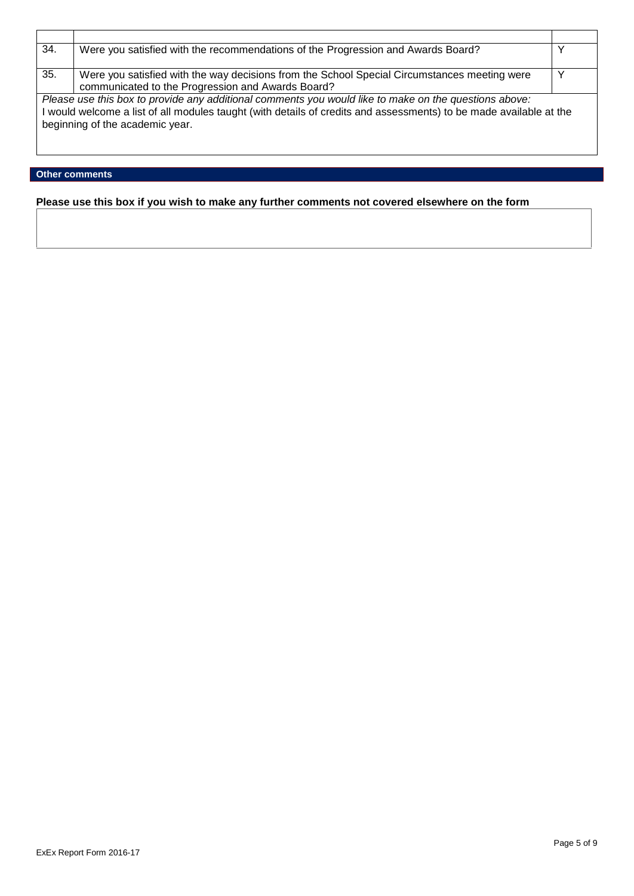| 34.                                                                                                   | Were you satisfied with the recommendations of the Progression and Awards Board?                                   |  |
|-------------------------------------------------------------------------------------------------------|--------------------------------------------------------------------------------------------------------------------|--|
|                                                                                                       |                                                                                                                    |  |
| 35.                                                                                                   | Were you satisfied with the way decisions from the School Special Circumstances meeting were                       |  |
|                                                                                                       | communicated to the Progression and Awards Board?                                                                  |  |
| Please use this box to provide any additional comments you would like to make on the questions above: |                                                                                                                    |  |
|                                                                                                       | I would welcome a list of all modules taught (with details of credits and assessments) to be made available at the |  |
| beginning of the academic year.                                                                       |                                                                                                                    |  |
|                                                                                                       |                                                                                                                    |  |
|                                                                                                       |                                                                                                                    |  |

# **Other comments**

**Please use this box if you wish to make any further comments not covered elsewhere on the form**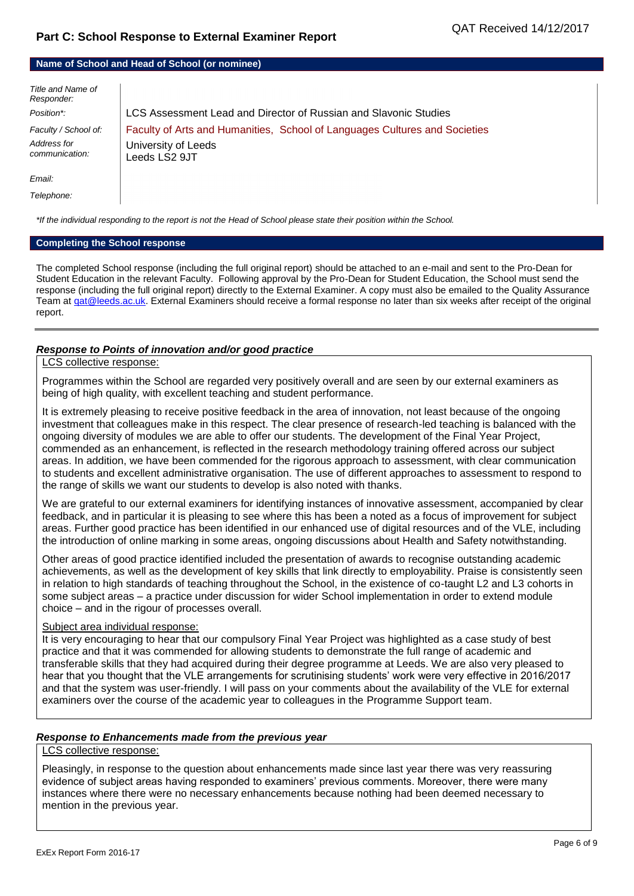#### **Name of School and Head of School (or nominee)**

| Title and Name of<br>Responder: |                                                                            |
|---------------------------------|----------------------------------------------------------------------------|
| Position*:                      | LCS Assessment Lead and Director of Russian and Slavonic Studies           |
| Faculty / School of:            | Faculty of Arts and Humanities, School of Languages Cultures and Societies |
| Address for<br>communication:   | University of Leeds<br>Leeds LS2 9JT                                       |
| Email:                          |                                                                            |
| Telephone:                      |                                                                            |

*\*If the individual responding to the report is not the Head of School please state their position within the School.*

#### **Completing the School response**

The completed School response (including the full original report) should be attached to an e-mail and sent to the Pro-Dean for Student Education in the relevant Faculty. Following approval by the Pro-Dean for Student Education, the School must send the response (including the full original report) directly to the External Examiner. A copy must also be emailed to the Quality Assurance Team a[t qat@leeds.ac.uk.](mailto:qat@leeds.ac.uk) External Examiners should receive a formal response no later than six weeks after receipt of the original report.

#### *Response to Points of innovation and/or good practice*

#### LCS collective response:

Programmes within the School are regarded very positively overall and are seen by our external examiners as being of high quality, with excellent teaching and student performance.

It is extremely pleasing to receive positive feedback in the area of innovation, not least because of the ongoing investment that colleagues make in this respect. The clear presence of research-led teaching is balanced with the ongoing diversity of modules we are able to offer our students. The development of the Final Year Project, commended as an enhancement, is reflected in the research methodology training offered across our subject areas. In addition, we have been commended for the rigorous approach to assessment, with clear communication to students and excellent administrative organisation. The use of different approaches to assessment to respond to the range of skills we want our students to develop is also noted with thanks.

We are grateful to our external examiners for identifying instances of innovative assessment, accompanied by clear feedback, and in particular it is pleasing to see where this has been a noted as a focus of improvement for subject areas. Further good practice has been identified in our enhanced use of digital resources and of the VLE, including the introduction of online marking in some areas, ongoing discussions about Health and Safety notwithstanding.

Other areas of good practice identified included the presentation of awards to recognise outstanding academic achievements, as well as the development of key skills that link directly to employability. Praise is consistently seen in relation to high standards of teaching throughout the School, in the existence of co-taught L2 and L3 cohorts in some subject areas – a practice under discussion for wider School implementation in order to extend module choice – and in the rigour of processes overall.

#### Subject area individual response:

It is very encouraging to hear that our compulsory Final Year Project was highlighted as a case study of best practice and that it was commended for allowing students to demonstrate the full range of academic and transferable skills that they had acquired during their degree programme at Leeds. We are also very pleased to hear that you thought that the VLE arrangements for scrutinising students' work were very effective in 2016/2017 and that the system was user-friendly. I will pass on your comments about the availability of the VLE for external examiners over the course of the academic year to colleagues in the Programme Support team.

#### *Response to Enhancements made from the previous year*

#### LCS collective response:

Pleasingly, in response to the question about enhancements made since last year there was very reassuring evidence of subject areas having responded to examiners' previous comments. Moreover, there were many instances where there were no necessary enhancements because nothing had been deemed necessary to mention in the previous year.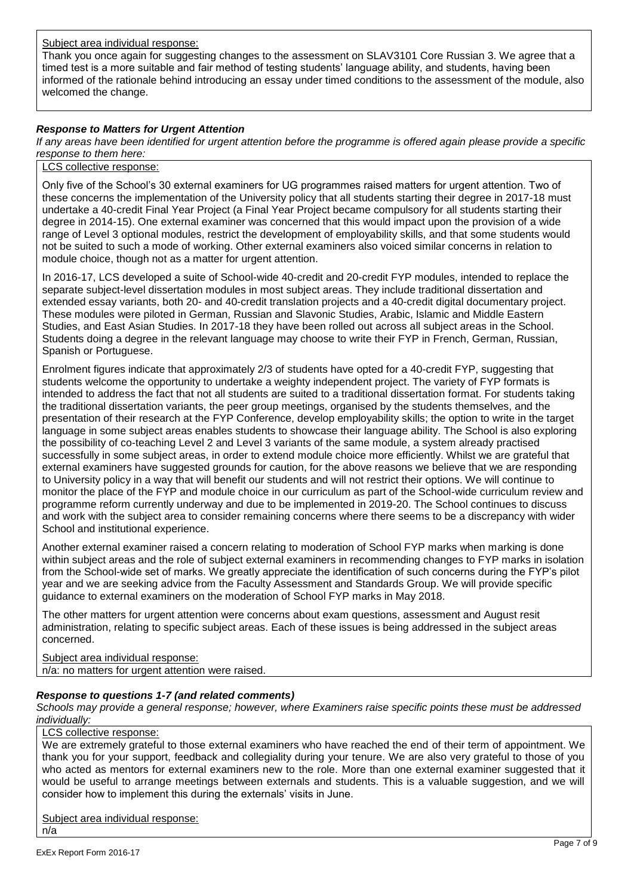Subject area individual response:

Thank you once again for suggesting changes to the assessment on SLAV3101 Core Russian 3. We agree that a timed test is a more suitable and fair method of testing students' language ability, and students, having been informed of the rationale behind introducing an essay under timed conditions to the assessment of the module, also welcomed the change.

# *Response to Matters for Urgent Attention*

*If any areas have been identified for urgent attention before the programme is offered again please provide a specific response to them here:*

#### LCS collective response:

Only five of the School's 30 external examiners for UG programmes raised matters for urgent attention. Two of these concerns the implementation of the University policy that all students starting their degree in 2017-18 must undertake a 40-credit Final Year Project (a Final Year Project became compulsory for all students starting their degree in 2014-15). One external examiner was concerned that this would impact upon the provision of a wide range of Level 3 optional modules, restrict the development of employability skills, and that some students would not be suited to such a mode of working. Other external examiners also voiced similar concerns in relation to module choice, though not as a matter for urgent attention.

In 2016-17, LCS developed a suite of School-wide 40-credit and 20-credit FYP modules, intended to replace the separate subject-level dissertation modules in most subject areas. They include traditional dissertation and extended essay variants, both 20- and 40-credit translation projects and a 40-credit digital documentary project. These modules were piloted in German, Russian and Slavonic Studies, Arabic, Islamic and Middle Eastern Studies, and East Asian Studies. In 2017-18 they have been rolled out across all subject areas in the School. Students doing a degree in the relevant language may choose to write their FYP in French, German, Russian, Spanish or Portuguese.

Enrolment figures indicate that approximately 2/3 of students have opted for a 40-credit FYP, suggesting that students welcome the opportunity to undertake a weighty independent project. The variety of FYP formats is intended to address the fact that not all students are suited to a traditional dissertation format. For students taking the traditional dissertation variants, the peer group meetings, organised by the students themselves, and the presentation of their research at the FYP Conference, develop employability skills; the option to write in the target language in some subject areas enables students to showcase their language ability. The School is also exploring the possibility of co-teaching Level 2 and Level 3 variants of the same module, a system already practised successfully in some subject areas, in order to extend module choice more efficiently. Whilst we are grateful that external examiners have suggested grounds for caution, for the above reasons we believe that we are responding to University policy in a way that will benefit our students and will not restrict their options. We will continue to monitor the place of the FYP and module choice in our curriculum as part of the School-wide curriculum review and programme reform currently underway and due to be implemented in 2019-20. The School continues to discuss and work with the subject area to consider remaining concerns where there seems to be a discrepancy with wider School and institutional experience.

Another external examiner raised a concern relating to moderation of School FYP marks when marking is done within subject areas and the role of subject external examiners in recommending changes to FYP marks in isolation from the School-wide set of marks. We greatly appreciate the identification of such concerns during the FYP's pilot year and we are seeking advice from the Faculty Assessment and Standards Group. We will provide specific guidance to external examiners on the moderation of School FYP marks in May 2018.

The other matters for urgent attention were concerns about exam questions, assessment and August resit administration, relating to specific subject areas. Each of these issues is being addressed in the subject areas concerned.

Subject area individual response: n/a: no matters for urgent attention were raised.

### *Response to questions 1-7 (and related comments)*

*Schools may provide a general response; however, where Examiners raise specific points these must be addressed individually:*

#### LCS collective response:

We are extremely grateful to those external examiners who have reached the end of their term of appointment. We thank you for your support, feedback and collegiality during your tenure. We are also very grateful to those of you who acted as mentors for external examiners new to the role. More than one external examiner suggested that it would be useful to arrange meetings between externals and students. This is a valuable suggestion, and we will consider how to implement this during the externals' visits in June.

Subject area individual response: n/a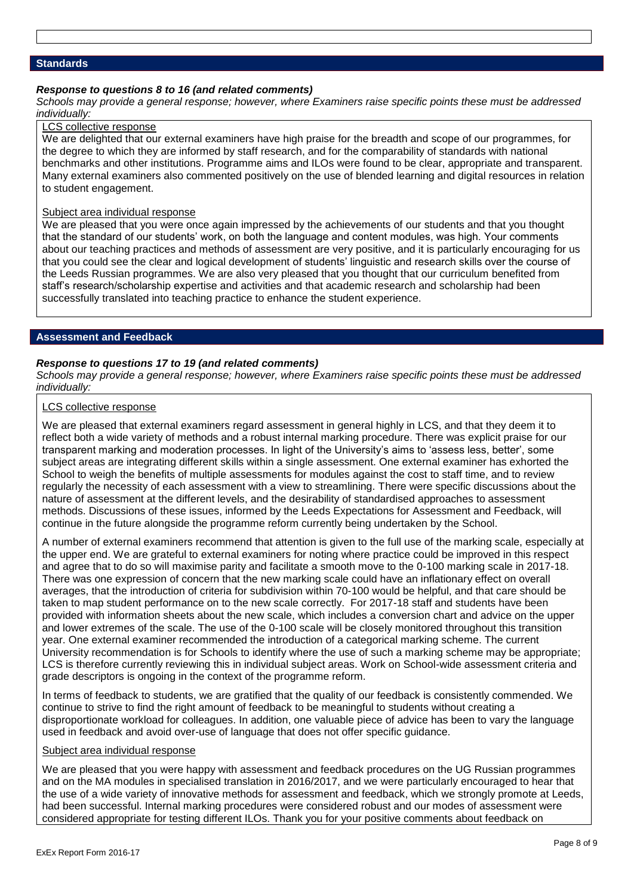#### **Standards**

#### *Response to questions 8 to 16 (and related comments)*

*Schools may provide a general response; however, where Examiners raise specific points these must be addressed individually:*

# LCS collective response

We are delighted that our external examiners have high praise for the breadth and scope of our programmes, for the degree to which they are informed by staff research, and for the comparability of standards with national benchmarks and other institutions. Programme aims and ILOs were found to be clear, appropriate and transparent. Many external examiners also commented positively on the use of blended learning and digital resources in relation to student engagement.

#### Subject area individual response

We are pleased that you were once again impressed by the achievements of our students and that you thought that the standard of our students' work, on both the language and content modules, was high. Your comments about our teaching practices and methods of assessment are very positive, and it is particularly encouraging for us that you could see the clear and logical development of students' linguistic and research skills over the course of the Leeds Russian programmes. We are also very pleased that you thought that our curriculum benefited from staff's research/scholarship expertise and activities and that academic research and scholarship had been successfully translated into teaching practice to enhance the student experience.

#### **Assessment and Feedback**

#### *Response to questions 17 to 19 (and related comments)*

*Schools may provide a general response; however, where Examiners raise specific points these must be addressed individually:*

# LCS collective response

We are pleased that external examiners regard assessment in general highly in LCS, and that they deem it to reflect both a wide variety of methods and a robust internal marking procedure. There was explicit praise for our transparent marking and moderation processes. In light of the University's aims to 'assess less, better', some subject areas are integrating different skills within a single assessment. One external examiner has exhorted the School to weigh the benefits of multiple assessments for modules against the cost to staff time, and to review regularly the necessity of each assessment with a view to streamlining. There were specific discussions about the nature of assessment at the different levels, and the desirability of standardised approaches to assessment methods. Discussions of these issues, informed by the Leeds Expectations for Assessment and Feedback, will continue in the future alongside the programme reform currently being undertaken by the School.

A number of external examiners recommend that attention is given to the full use of the marking scale, especially at the upper end. We are grateful to external examiners for noting where practice could be improved in this respect and agree that to do so will maximise parity and facilitate a smooth move to the 0-100 marking scale in 2017-18. There was one expression of concern that the new marking scale could have an inflationary effect on overall averages, that the introduction of criteria for subdivision within 70-100 would be helpful, and that care should be taken to map student performance on to the new scale correctly. For 2017-18 staff and students have been provided with information sheets about the new scale, which includes a conversion chart and advice on the upper and lower extremes of the scale. The use of the 0-100 scale will be closely monitored throughout this transition year. One external examiner recommended the introduction of a categorical marking scheme. The current University recommendation is for Schools to identify where the use of such a marking scheme may be appropriate; LCS is therefore currently reviewing this in individual subject areas. Work on School-wide assessment criteria and grade descriptors is ongoing in the context of the programme reform.

In terms of feedback to students, we are gratified that the quality of our feedback is consistently commended. We continue to strive to find the right amount of feedback to be meaningful to students without creating a disproportionate workload for colleagues. In addition, one valuable piece of advice has been to vary the language used in feedback and avoid over-use of language that does not offer specific guidance.

#### Subject area individual response

We are pleased that you were happy with assessment and feedback procedures on the UG Russian programmes and on the MA modules in specialised translation in 2016/2017, and we were particularly encouraged to hear that the use of a wide variety of innovative methods for assessment and feedback, which we strongly promote at Leeds, had been successful. Internal marking procedures were considered robust and our modes of assessment were considered appropriate for testing different ILOs. Thank you for your positive comments about feedback on